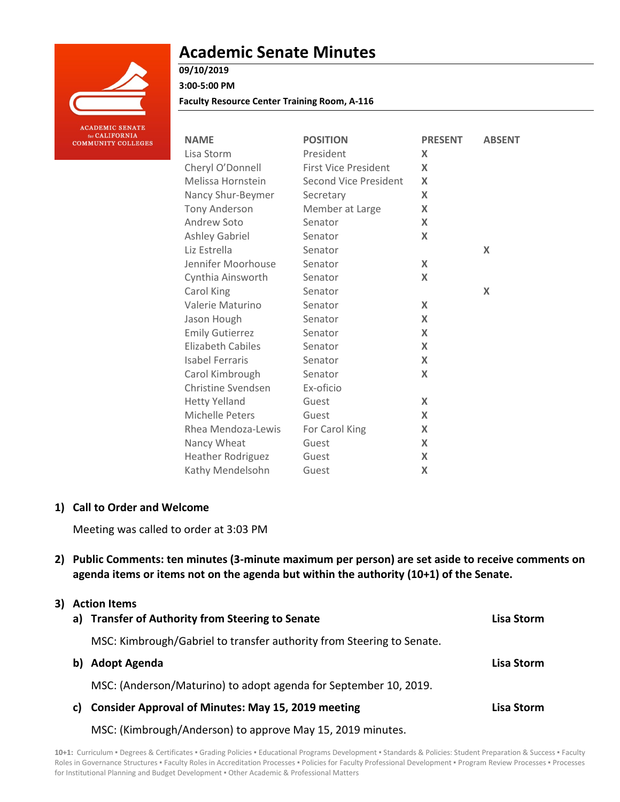

# **Academic Senate Minutes**

## **09/10/2019**

**3:00-5:00 PM**

**Faculty Resource Center Training Room, A-116**

| <b>NAME</b>              | <b>POSITION</b>             | <b>PRESENT</b> | <b>ABSENT</b> |
|--------------------------|-----------------------------|----------------|---------------|
| Lisa Storm               | President                   | X              |               |
| Cheryl O'Donnell         | <b>First Vice President</b> | X              |               |
| Melissa Hornstein        | Second Vice President       | X              |               |
| Nancy Shur-Beymer        | Secretary                   | X              |               |
| Tony Anderson            | Member at Large             | X              |               |
| Andrew Soto              | Senator                     | X              |               |
| <b>Ashley Gabriel</b>    | Senator                     | X              |               |
| Liz Estrella             | Senator                     |                | X             |
| Jennifer Moorhouse       | Senator                     | X              |               |
| Cynthia Ainsworth        | Senator                     | X              |               |
| Carol King               | Senator                     |                | X             |
| Valerie Maturino         | Senator                     | X              |               |
| Jason Hough              | Senator                     | X              |               |
| <b>Emily Gutierrez</b>   | Senator                     | X              |               |
| <b>Elizabeth Cabiles</b> | Senator                     | X              |               |
| <b>Isabel Ferraris</b>   | Senator                     | X              |               |
| Carol Kimbrough          | Senator                     | X              |               |
| Christine Svendsen       | Ex-oficio                   |                |               |
| <b>Hetty Yelland</b>     | Guest                       | X              |               |
| Michelle Peters          | Guest                       | X              |               |
| Rhea Mendoza-Lewis       | For Carol King              | X              |               |
| Nancy Wheat              | Guest                       | X              |               |
| Heather Rodriguez        | Guest                       | X              |               |
| Kathy Mendelsohn         | Guest                       | X              |               |

## **1) Call to Order and Welcome**

Meeting was called to order at 3:03 PM

**2) Public Comments: ten minutes (3-minute maximum per person) are set aside to receive comments on agenda items or items not on the agenda but within the authority (10+1) of the Senate.**

## **3) Action Items**

|    | a) Transfer of Authority from Steering to Senate                      | <b>Lisa Storm</b> |
|----|-----------------------------------------------------------------------|-------------------|
|    | MSC: Kimbrough/Gabriel to transfer authority from Steering to Senate. |                   |
| b) | <b>Adopt Agenda</b>                                                   | Lisa Storm        |
|    | MSC: (Anderson/Maturino) to adopt agenda for September 10, 2019.      |                   |
| C) | <b>Consider Approval of Minutes: May 15, 2019 meeting</b>             | Lisa Storm        |
|    |                                                                       |                   |

MSC: (Kimbrough/Anderson) to approve May 15, 2019 minutes.

10+1: Curriculum · Degrees & Certificates · Grading Policies · Educational Programs Development · Standards & Policies: Student Preparation & Success · Faculty Roles in Governance Structures . Faculty Roles in Accreditation Processes . Policies for Faculty Professional Development . Program Review Processes . Processes for Institutional Planning and Budget Development ▪ Other Academic & Professional Matters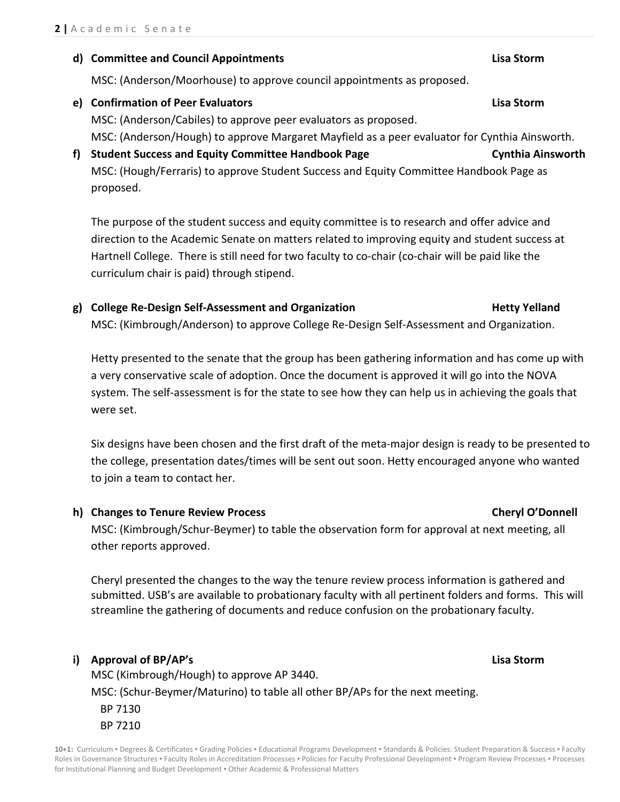## **d) Committee and Council Appointments Lisa Storm**

MSC: (Anderson/Moorhouse) to approve council appointments as proposed.

**e) Confirmation of Peer Evaluators Lisa Storm**

MSC: (Anderson/Cabiles) to approve peer evaluators as proposed. MSC: (Anderson/Hough) to approve Margaret Mayfield as a peer evaluator for Cynthia Ainsworth.

**f) Student Success and Equity Committee Handbook Page Cynthia Ainsworth** MSC: (Hough/Ferraris) to approve Student Success and Equity Committee Handbook Page as proposed.

The purpose of the student success and equity committee is to research and offer advice and direction to the Academic Senate on matters related to improving equity and student success at Hartnell College. There is still need for two faculty to co-chair (co-chair will be paid like the curriculum chair is paid) through stipend.

**g) College Re-Design Self-Assessment and Organization Hetty Yelland** MSC: (Kimbrough/Anderson) to approve College Re-Design Self-Assessment and Organization.

Hetty presented to the senate that the group has been gathering information and has come up with a very conservative scale of adoption. Once the document is approved it will go into the NOVA system. The self-assessment is for the state to see how they can help us in achieving the goals that were set.

Six designs have been chosen and the first draft of the meta-major design is ready to be presented to the college, presentation dates/times will be sent out soon. Hetty encouraged anyone who wanted to join a team to contact her.

**h) Changes to Tenure Review Process Cheryl O'Donnell**

MSC: (Kimbrough/Schur-Beymer) to table the observation form for approval at next meeting, all other reports approved.

Cheryl presented the changes to the way the tenure review process information is gathered and submitted. USB's are available to probationary faculty with all pertinent folders and forms. This will streamline the gathering of documents and reduce confusion on the probationary faculty.

## **i) Approval of BP/AP's Lisa Storm**

MSC (Kimbrough/Hough) to approve AP 3440. MSC: (Schur-Beymer/Maturino) to table all other BP/APs for the next meeting. BP 7130 BP 7210